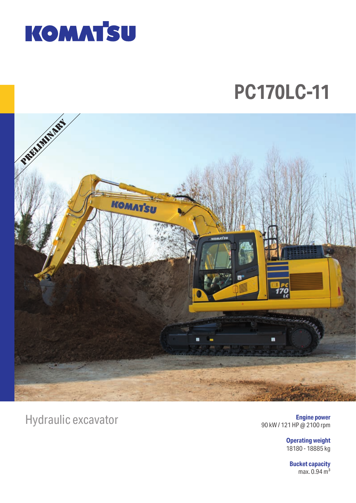

# **PC170LC-11**



# Hydraulic excavator

**Engine power** 90 kW / 121 HP @ 2100 rpm

> **Operating weight** 18180 - 18885 kg

**Bucket capacity** max.  $0.94 \text{ m}^3$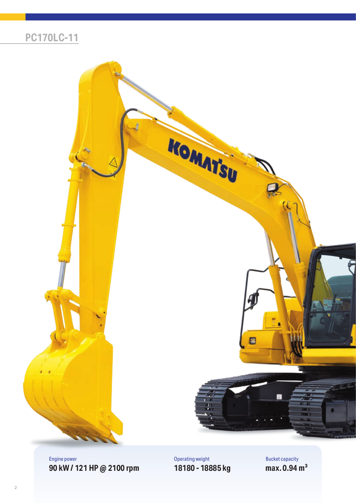### **PC170LC-11**



Engine power **90 kW / 121 HP @ 2100 rpm** Operating weight **18180 - 18885 kg** Bucket capacity **max. 0.94 m³**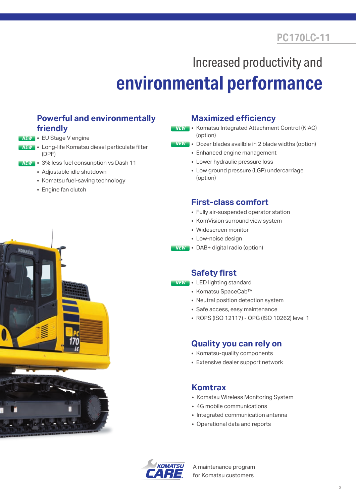## **PC170LC-11**

# Increased productivity and **environmental performance**

### **Powerful and environmentally friendly**

- NEW EU Stage V engine
- NEW Long-life Komatsu diesel particulate filter (DPF)
- 3% less fuel consunption vs Dash 11 NEW
	- Adjustable idle shutdown
	- Komatsu fuel-saving technology
	- Engine fan clutch



#### **Maximized efficiency**

- Komatsu Integrated Attachment Control (KIAC) (option) NEW
- Dozer blades availble in 2 blade widths (option) NEW
	- Enhanced engine management
	- Lower hydraulic pressure loss
	- Low ground pressure (LGP) undercarriage (option)

#### **First-class comfort**

- Fully air-suspended operator station
- KomVision surround view system
- Widescreen monitor
- Low-noise design
- DAB+ digital radio (option) NEW

#### **Safety first**

- NEW LED lighting standard
	- Komatsu SpaceCab™
	- Neutral position detection system
	- Safe access, easy maintenance
	- ROPS (ISO 12117) OPG (ISO 10262) level 1

#### **Quality you can rely on**

- Komatsu-quality components
- Extensive dealer support network

#### **Komtrax**

- Komatsu Wireless Monitoring System
- 4G mobile communications
- Integrated communication antenna
- Operational data and reports



A maintenance program for Komatsu customers